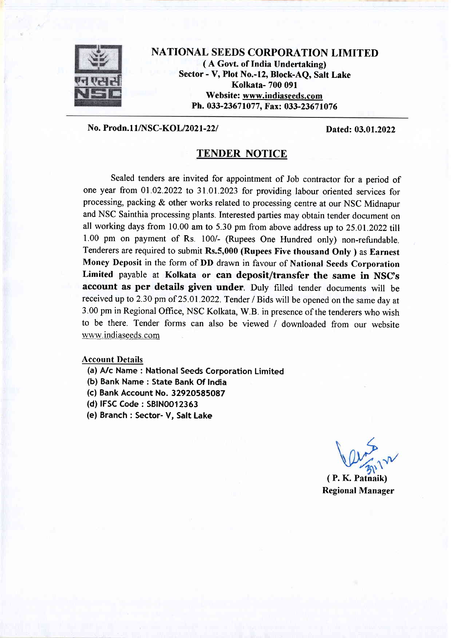

NATIONAL SEEDS CORPORATION LIMITED (A Govt. of India Undertaking) Sector - V, Plot No.-12, Block-AQ, Salt Lake Kolkata- 700 091 Website: www. indiaseeds.com Ph. 033-23671077, Fax: 033-23671076

No. Prodn. 11/NSC-KOL/2021-22/ Dated: 03.01.2022

#### TENDER NOTICE

Sealed tenders are invited for appointment of Job contractor for a period of one year from 01 .02.2022 to 31.01.2023 for providing labour oriented services for processing, packing & other works related to processing centre at our NSC Midnapur and NSC Sainthia processing plants. Interested parties may obtain tender document on all working days from  $10.00$  am to 5.30 pm from above address up to  $25.01.2022$  till 1.00 pm on payment of Rs. 100/- (Rupees One Hundred only) non-refundable. Tenderers are required to submit Rs.5,000 (Rupees Five thousand Only ) as Earnest Money Deposit in the form of DD drawn in favour of National Seeds Corporation Limited payable at Kolkata or can deposit/transfer the same in NSC's account as per details given under. Duly filled tender documents will be received up to 2.30 pm of 25.01.2022. Tender / Bids will be opened on the same day at 3.00 pm in Regional Office, NSC Kolkata, W.B. in presence of the tenderers who wish to be there. Tender forms can also be viewed / downloaded from our website www.indiaseeds.com

Account Details

- (a) A/c Name : National Seeds Corporation Limited
- (b) Bank Name : State Bank Of India
- (c) Bank Account No. 32920585087
- (d) IFSC Code: SBINOO12363
- (e) Branch : Sector- V, Salt Lake

( P. K. Patnaik) Regional Manager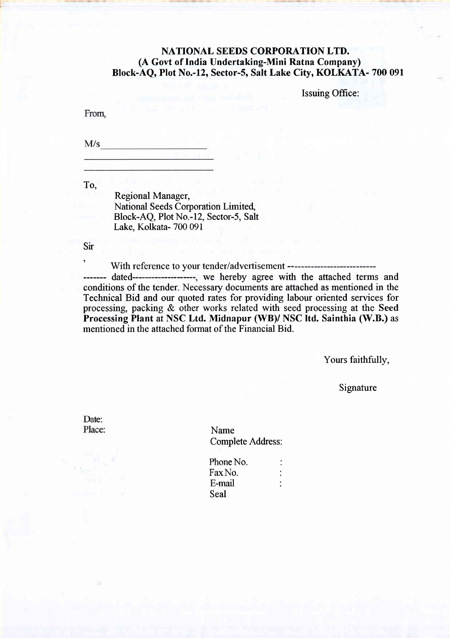# NATIONAL SEEDS CORPORATION LTD. (A Govt of India Undertaking-Mini Ratna Company) Block-AQ, Plot No.-12, Sector-S, Salt Lake City, KOLKATA- 700 091

Issuing Office:

From,

 $M/s$ 

To,

Regional Manager, National Seeds Corporation Limited, Block-AQ, Plot No.-12, Sector-S, Salt Lake, Kolkata- 700 09I

Sir

' With reference to your tender/advertisement -- ------- dated-------------------, we hereby agree with the attached terms and conditions of the tender. Necessary documents are attached as mentioned in the Technical Bid and our quoted rates for providing labour oriented services for processing, packing & other works related with seed processing at the Seed Processing Plant at NSC Ltd. Midnapur (WB)/ NSC ltd. Sainthia (W.B.) as mentioned in the attached format of the Financial Bid.

Yours faithfully,

Signature

Date: Place:

Name Complete Address:

Phone No. Fax No. E-mail Seal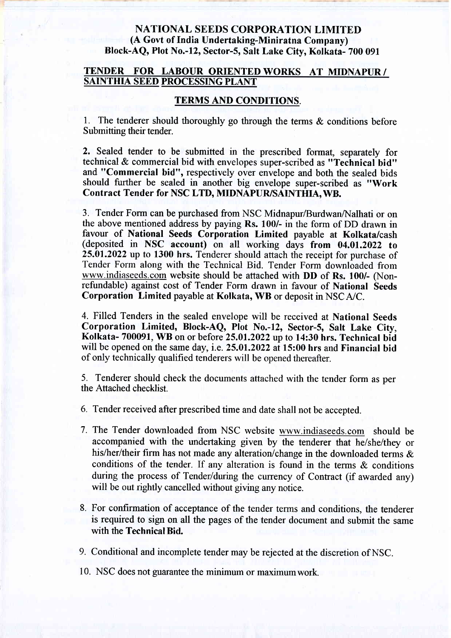# NATIONAL SEEDS CORPORATION LIMITED (A Govt of India Undertaking-Miniratna Company) Block-AQ, Plot No.-12, Sector-S, Salt Lake City, Kolkata- 700 091

#### TENDER FOR LABOUR ORIENTED WORKS AT MIDNAPUR / SAINTHIA SEED PROCESSING PLANT

#### TERMS AND CONDITIONS.

l. The tenderer should thoroughly go through the terms & conditions before Submitting their tender.

2. Sealed tender to be submitted in the prescribed format, separately for technical & commercial bid with envelopes super-scribed as "Technical bid" and "Commercial bid", respectively over envelope and both the sealed bids should further be sealed in another big envelope super-scribed as "Work Contract Tender for NSC LTD, MIDNAPUR/SAINTHIA,WB.

3. Tender Form can be purchased from NSC Midnapur/Burdwan/Nalhati or on the above mentioned address by paying  $\mathbf{R}s$ . 100/- in the form of DD drawn in favour of National Seeds Corporation Limited payable at Kolkata/cash (deposited in Nsc account) on all working days from 04.01.2022 to 25.01.2022 up to 1300 hrs. Tenderer should attach the receipt for purchase of Tender Form along with the Technical Bid. Tender Form downloaded from www.indiaseeds.com website should be attached with **DD** of **Rs. 100/-** (Nonrefundable) against cost of Tender Form drawn in favour of National Seeds Corporation Limited payable at Kolkata, WB or deposit in NSCA/C.

4. Filled Tenders in the sealed envelope will be received at National Seeds Corporation Limited, Block-AQ, Plot No.-12, Sector-S, Salt Lake City, Kolkata- 700091, WB on or before 25.01.2022 up to 14230 hrs. Technical bid will be opened on the same day, i.e. 25.01.2022 at 15:00 hrs and Financial bid of only technically qualified tenderers will be opened thereafter.

5. Tenderer should check the documents attached with the tender form as per the Attached checklist.

6. Tender received after prescribed time and date shall not be accepted.

- 7. The Tender downloaded from NSC website www.indiaseeds.com should be accompanied with the undertaking given by the tenderer that he/she/they or his/her/their firm has not made any alteration/change in the downloaded terms & conditions of the tender. If any alteration is found in the terms & conditions during the process of Tender/during the currency of Contract (if awarded any) will be out rightly cancelled without giving any notice.
- 8. For confirmation of acceptance of the tender terms and conditions, the tenderer is required to sign on all the pages of the tender document and submit the same with the Technical Bid.

9. Conditional and incomplete tender may be rejected at the discretion of NSC.

10. NSC does not guarantee the minimum or maximum work.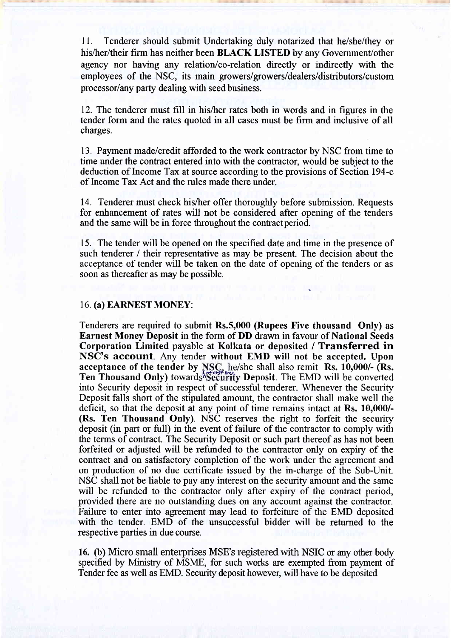11. Tenderer should submit Undertaking duly notarized that he/she/they or his/her/their firm has neither been **BLACK LISTED** by any Government/other agency nor having any relation/co-relation directly or indirectly with the employees of the NSC, its main growers/growers/dealers/distributors/custom processor/any party dealing with seed business.

12. The tenderer must fill in his/her rates both in words and in figures in the tender form and the rates quoted in all cases must be firm and inclusive of all charges.

13. Payment made/credit afforded to the work contractor by NSC from time to time under the confract entered into with the contractor, would be subject to the deduction of Income Tax at source according to the provisions of Section I94-c of Income Tax Act and the rules made there under.

14. Tenderer must check his/her offer thoroughly before submission. Requests for enhancement of rates will not be considered after opening of the tenders and the same will be in force throughout the contractperiod.

15. The tender will be opened on the specified date and time in the presence of such tenderer / their representative as may be present. The decision about the acceptance of tender will be taken on the date of opening of the tenders or as soon as thereafter as may be possible.

#### 16. (a) EARNESTMONEY:

Tenderers are required to submit Rs.5,000 (Rupees Five thousand Only) as Earnest Money Deposit in the form of DD drawn in favour of National Seeds Corporation Limited payable at Kolkata or deposited / Transferred in NSC's account. Any tender without EMD will not be accepted. Upon acceptance of the tender by NSC, he/she shall also remit Rs. 10,000/- (Rs. Ten Thousand Only) towards Security Deposit. The EMD will be converted into Security deposit in respect of successful tenderer. Whenever the Security Deposit falls short of the stipulated amount, the contractor shall make well the deficit, so that the deposit at any point of time remains intact at  $\text{Rs. } 10,000/$ -(Rs. Ten Thousand Only). NSC reserves the right to forfeit the security deposit (in part or full) in the event of failure of the contractor to comply with the terms of contract. The Security Deposit or such part thereof as has not been forfeited or adjusted will be refunded to the contractor only on expiry of the contract and on satisfactory completion of the work under the agreement and on production of no due certificate issued by the in-charge of the Sub-Unit. NSC shall not be liable to pay any interest on the security amount and the same will be refunded to the contractor only after expiry of the contract period, provided there are no outstanding dues on any account against the contractor. Failure to enter into agreement may lead to forfeiture of the EMD deposited with the tender. EMD of the unsuccessful bidder will be returned to the respective parties in due course.

16. (b) Micro small enterprises MSE's registered with NSIC or any other body specified by Minisfiy of MSME, for such works are exempted from payment of Tender fee as well as EMD. Security deposit however, will have to be deposited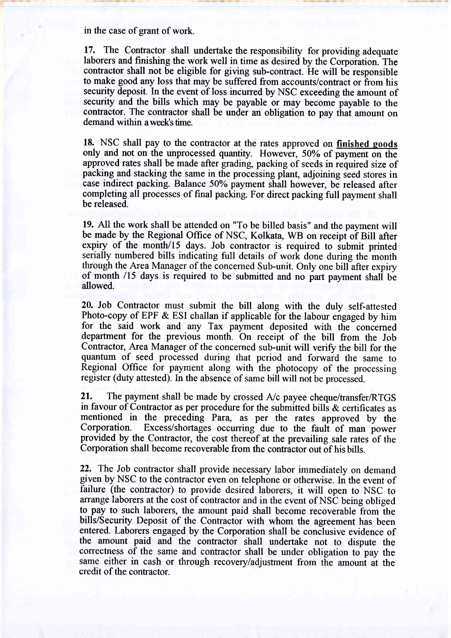in the case of grant of work.

17. The Contractor shall undertake the responsibility for providing adequate laborers and finishing the work well in time as desired by the Corporation. The confractor shall not be eligible for giving sub-contract. He will be responsible to make good any loss that may be suffered from accounts/conftact or from his security deposit. In the event of loss incurred by NSC exceeding the amount of security and the bills which may be payable or may become payable to the confractor. The contractor shall be under an obligation to pay that amount on demand within aweek's time.

18. NSC shall pay to the contractor at the rates approved on *finished goods* only and not on the unprocessed quantity. However, 50% of payment on the approved rates shall be made after grading, packing of seeds in required size of packing and stacking the same in the processing plant, adjoining seed stores in case indirect packing. Balance 50% payment shall however, be released after completing all processes of final packing. For direct packing full payment shall be released.

19. All the work shall be attended on "To be billed basis" and the payment will be made by the Regional Office of NSC, Kolkata, WB on receipt of Bill after expiry of the month/15 days. Job contractor is required to submit printed serially numbered bills indicating full details of work done during the month through the Area Manager of the concerned Sub-unit. Only one bill after expiry of month /15 days is required to be submitted and no part payment shall be allowed.

20. Job Contractor must submit the bill along with the duly self-attested Photo-copy of EPF  $\&$  ESI challan if applicable for the labour engaged by him for the said work and any Tax payment deposited with the concerned department for the previous month. On receipt of the bill from the Job Contractor, Area Manager of the concerned sub-unit will verify the bill for the quantum of seed processed during that period and forward the same to Regional office for payment along with the photocopy of the processing register (duty attested). In the absence of same bill will not be processed.

21. The payment shall be made by crossed A/c payee cheque/transfer/RTGS in favour of Contractor as per procedure for the submitted bills  $\&$  certificates as mentioned in the preceding Para, as per the rates approved by the Corporation. Excess/shortages occurring due to the fault of man nower Excess/shortages occurring due to the fault of man power provided by the Contractor, the cost thereof at the prevailing sale rates of the Corporation shall become recoverable from the contractor out of his bills.

22, The Job contractor shall provide necessary labor immediately on demand given by NSC to the contractor even on telephone or otherwise. In the event of failure (the contractor) to provide desired laborers, it will open to NSC to arrange laborers at the cost of contractor and in the event of NSC being obliged to pay to such laborers, the amount paid shall become recoverable from the bills/Security Deposit of the Contractor with whom the agreement has been entered. Laborers engaged by the Corporation shall be conclusive evidence of the amount paid and the contractor shall undertake not to dispute the correctness of the same and contractor shall be under obligation to pay the same either in cash or through recovery/adjustment from the amount at the credit of the contractor.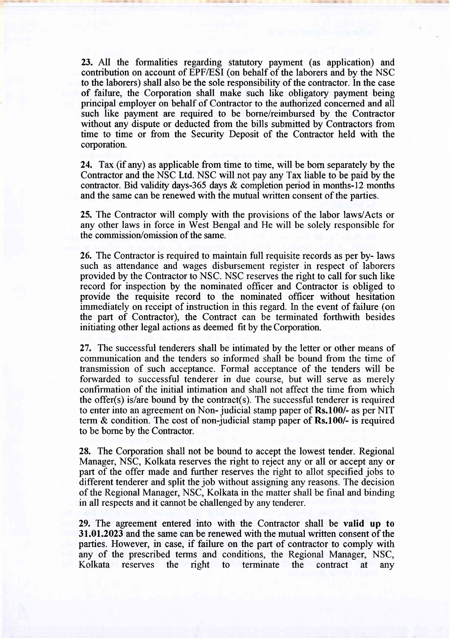23. All the formalities regarding statutory payment (as application) and contribution on account of EPF/ESI (on behalf of the laborers and by the NSC to the laborers) shall also be the sole responsibility of the confractor. In the case of failure, the Corporation shall make such like obligatory payment being principal employer on behalf of Contractor to the authorized concerned and all such like payment are required to be borne/reimbursed by the Contractor without any dispute or deducted from the bills submitted by Contractors from time to time or from the Security Deposit of the Contactor held with the corporation.

24. Tax (if any) as applicable from time to time, will be born separately by the Contractor and the NSC Ltd. NSC will not pay any Tax liable to be paid by the contractor. Bid validity days-365 days & completion period in months-l2 months and the same can be renewed with the mufual written consent of the parties.

25. The Contractor will comply with the provisions of the labor laws/Acts or any other laws in force in West Bengal and He will be solely responsible for the commission/omission of the same.

26, The Contractor is required to maintain full requisite records as per by- laws such as attendance and wages disbursement register in respect of laborers provided by the Contractor to NSC. NSC reserves the right to call for such like record for inspection by the nominated officer and Contractor is obliged to provide the requisite record to the nominated officer without hesitation immediately on receipt of instruction in this regard. In the event of failure (on the part of Contractor), the Contract can be terminated forthwith besides initiating other legal actions as deemed fit by the Corporation.

27. The successful tenderers shall be intimated by the letter or other means of communication and the tenders so informed shall be bound from the time of transmission of such acceptance. Formal acceptance of the tenders will be forwarded to successful tenderer in due course, but will serve as merely confirmation of the initial intimation and shall not affect the time from which the offer(s) is/are bound by the contract(s). The successful tenderer is required to enter into an agreement on Non- judicial stamp paper of Rs.100/- as per NIT term & condition. The cost of non-judicial stamp paper of Rs.100/- is required to be bome by the Contractor.

28. The Corporation shall not be bound to accept the lowest tender. Regional Manager, NSC, Kolkata reseryes the right to reject any or all or accept any or part of the offer made and further reserves the right to allot specified jobs to different tenderer and split the job without assigning any reasons. The decision of the Regional Manager, NSC, Kolkata in the matter shall be final and binding in all respects and it cannot be challenged by any tenderer.

29. The agreement entered into with the Contractor shall be valid up to 31.01.2023 and the same can be renewed with the mutual written consent of the parties. However, in case, if failure on the part of contractor to comply with any of the prescribed terms and conditions, the Regional Manager, NSC, Kolkata reserves the right to terminate the contract at any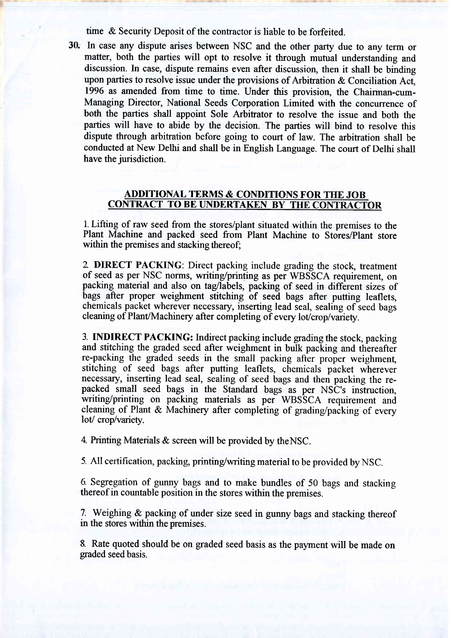time & Security Deposit of the contractor is liable to be forfeited.

30. In case any dispute arises between NSC and the other party due to any term or matter, both the parties will opt to resolve it through mutual understanding and discussion. In case, dispute remains even after discussion, then it shall be binding upon parties to resolve issue under the provisions of Arbitation & Conciliation Act, 1996 as amended from time to time. Under this provision, the Chairman-cum-Managing Director, National Seeds Corporation Limited with the concurence of both the parties shall appoint Sole Arbitrator to resolve the issue and both the parties will have to abide by the decision. The parties will bind to resolve this dispute through arbitration before going to court of law. The arbitration shall be conducted at New Delhi and shall be in English Language. The court of Delhi shall have the jurisdiction.

# ADDITIONAL TERMS & CONDITIONS FOR THE JOB CONTRACT TO BE UNDERTAKEN BY THE CONTRACTOR

l.\_Lifting of raw seed from the stores/plant situated within the premises to the Plant Machine and packed seed from Plant Machine to Stores/Plant store within the premises and stacking thereof;

2. DIRECT PACKING: Direct packing include grading the stock, treatment of seed as per NSC norms, writing/printing as per wBSSCA requirement, on packing material and also on tagllabels, packing of seed in different sizes of bags after proper weighment stitching of seed bags after putting leaflets, chemicals packet wherever necessary, inserting lead seal, sealing of seed bags cleaning of Plant/Machinery after completing of every lot/crop/variety.

3. INDIRECT PACKING: Indirect packing include grading the stock, packing and stitching the graded seed after weighment in bulk packing and thereafter re-packing the graded seeds in the small packing after proper weighment. stitching of seed bags after putting leaflets, chemicals packet wherever necessary, inserting lead seal, sealing of seed bags and then packing the repacked small seed bags in the Standard bags as per NSC's instruction, writing/printing on packing materials as per WBSSCA requirement and cleaning of Plant & Machinery after completing of grading/packing of every lot/ crop/variety.

a. Printing Materials & screen will be provided by theNSC.

5. All certification, packing, printing/writing material to be provided by NSC.

6. Segregation of gunny bags and to make bundles of 50 bags and stacking thereof in countable position in the stores within the premises.

7 Weighing & packing of under size seed in gunny bags and stacking thereof in the stores within the premises.

8. Rate quoted should be on graded seed basis as the payment will be made on graded seed basis.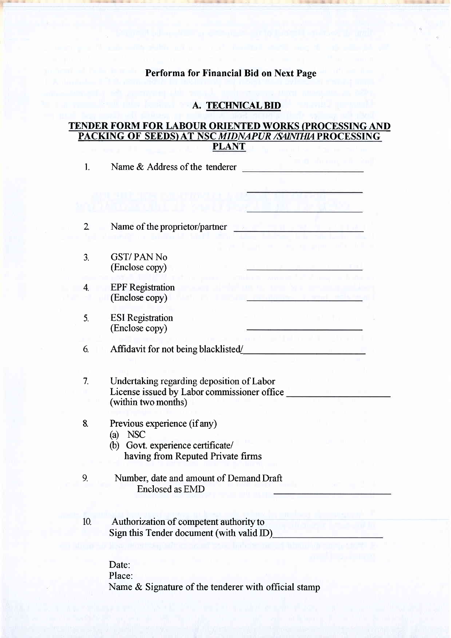# Performa for Financial Bid on Next Page

# A. TECHNICAL BID

#### <u>TENDER FORM FOR LABOUR ORIENTED WORKS (PROCESSING AND</u> <u>PACKING OF SEEDS) AT NSC*MIDNAPUR /SAINTHIA* PROCESSING</u> PLANT

| $\mathbf{1}$     | Name & Address of the tenderer                                                                                              |                                        |  |
|------------------|-----------------------------------------------------------------------------------------------------------------------------|----------------------------------------|--|
|                  |                                                                                                                             |                                        |  |
| $\overline{2}$   | Name of the proprietor/partner                                                                                              |                                        |  |
| 3.               | <b>GST/PAN No</b><br>(Enclose copy)                                                                                         |                                        |  |
| $\overline{4}$ . | <b>EPF</b> Registration<br>(Enclose copy)<br>andar din salah                                                                |                                        |  |
| 5.               | <b>ESI</b> Registration<br>(Enclose copy)                                                                                   |                                        |  |
| 6.               | Affidavit for not being blacklisted/                                                                                        | the control of the control of the con- |  |
| 7.               | Undertaking regarding deposition of Labor<br>License issued by Labor commissioner office<br>(within two months)             |                                        |  |
| 8.               | Previous experience (if any)<br><b>NSC</b><br>(a)<br>(b) Govt. experience certificate/<br>having from Reputed Private firms |                                        |  |
| 9.               | Number, date and amount of Demand Draft<br><b>Enclosed as EMD</b>                                                           |                                        |  |
| 10.              | Authorization of competent authority to<br>Sign this Tender document (with valid ID)                                        |                                        |  |
|                  | Date:<br>Place:                                                                                                             |                                        |  |

Name & Signature of the tenderer with official stamp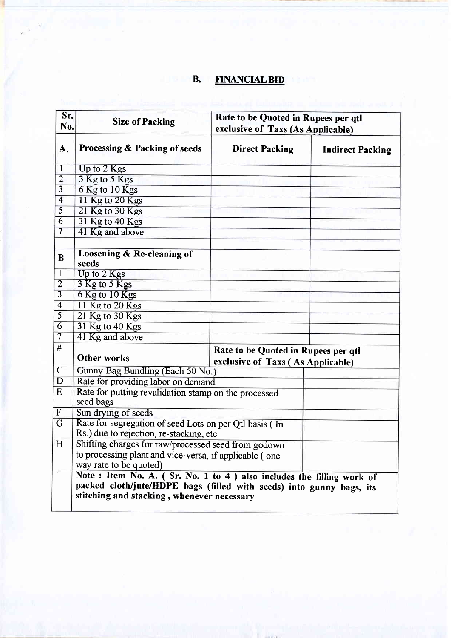# B. FINANCIAL BID

| Sr.<br>No.              | <b>Size of Packing</b>                                                                                             | Rate to be Quoted in Rupees per qtl<br>exclusive of Taxs (As Applicable) |                         |  |
|-------------------------|--------------------------------------------------------------------------------------------------------------------|--------------------------------------------------------------------------|-------------------------|--|
| A.                      | Processing & Packing of seeds                                                                                      | <b>Direct Packing</b>                                                    | <b>Indirect Packing</b> |  |
| 1                       | Up to 2 Kgs                                                                                                        |                                                                          |                         |  |
| $\overline{2}$          | 3 Kg to 5 Kgs                                                                                                      |                                                                          |                         |  |
| $\overline{3}$          | 6 Kg to 10 Kgs                                                                                                     |                                                                          |                         |  |
| $\overline{\bf{4}}$     | 11 Kg to 20 Kgs                                                                                                    |                                                                          |                         |  |
| $\overline{5}$          | 21 Kg to 30 Kgs                                                                                                    |                                                                          |                         |  |
| $\overline{6}$          | 31 Kg to 40 Kgs                                                                                                    |                                                                          |                         |  |
| $\overline{7}$          | 41 Kg and above                                                                                                    |                                                                          |                         |  |
| $\bf{B}$                | Loosening & Re-cleaning of<br>seeds                                                                                |                                                                          |                         |  |
| $\mathbf{1}$            | Up to 2 Kgs                                                                                                        |                                                                          |                         |  |
| $\overline{2}$          | 3 Kg to 5 Kgs                                                                                                      |                                                                          |                         |  |
| $\overline{3}$          | 6 Kg to 10 Kgs                                                                                                     |                                                                          |                         |  |
| $\overline{\mathbf{4}}$ | 11 Kg to 20 Kgs                                                                                                    |                                                                          |                         |  |
| $\overline{5}$          | 21 Kg to 30 Kgs                                                                                                    |                                                                          |                         |  |
| $\overline{6}$          | 31 Kg to 40 Kgs                                                                                                    |                                                                          |                         |  |
| $\overline{\tau}$       | 41 Kg and above                                                                                                    |                                                                          |                         |  |
| #                       | <b>Other works</b>                                                                                                 | Rate to be Quoted in Rupees per qtl<br>exclusive of Taxs (As Applicable) |                         |  |
| $\overline{C}$          | Gunny Bag Bundling (Each 50 No.)                                                                                   |                                                                          |                         |  |
| $\mathbf D$             | Rate for providing labor on demand                                                                                 |                                                                          |                         |  |
| E                       | Rate for putting revalidation stamp on the processed<br>seed bags                                                  |                                                                          |                         |  |
| $\overline{\mathrm{F}}$ | Sun drying of seeds                                                                                                |                                                                          |                         |  |
| G                       | Rate for segregation of seed Lots on per Qtl basis (In<br>Rs.) due to rejection, re-stacking, etc.                 |                                                                          |                         |  |
| H                       | Shifting charges for raw/processed seed from godown<br>to processing plant and vice-versa, if applicable (one      |                                                                          |                         |  |
|                         |                                                                                                                    |                                                                          |                         |  |
| $\mathbf I$             | way rate to be quoted)<br>Note: Item No. A. (Sr. No. 1 to 4) also includes the filling work of                     |                                                                          |                         |  |
|                         | packed cloth/jute/HDPE bags (filled with seeds) into gunny bags, its<br>stitching and stacking, whenever necessary |                                                                          |                         |  |